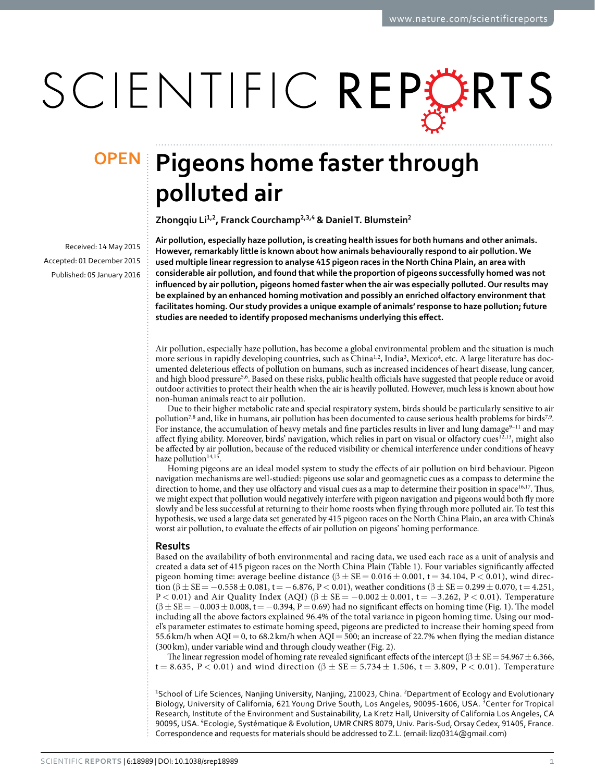# SCIENTIFIC REPERTS

Received: 14 May 2015 accepted: 01 December 2015 Published: 05 January 2016

## **Pigeons home faster through OPENpolluted air**

**Zhongqiu Li<sup>1</sup>,<sup>2</sup>, FranckCourchamp<sup>2</sup>,3,<sup>4</sup> & DanielT. Blumstein<sup>2</sup>**

**Air pollution, especially haze pollution, is creating health issues for both humans and other animals. However, remarkably little is known about how animals behaviourally respond to air pollution. We used multiple linear regression to analyse 415 pigeon races in the North China Plain, an area with considerable air pollution, and found that while the proportion of pigeons successfully homed was not influenced by air pollution, pigeons homed faster when the air was especially polluted. Our results may be explained by an enhanced homing motivation and possibly an enriched olfactory environment that facilitates homing. Our study provides a unique example of animals' response to haze pollution; future studies are needed to identify proposed mechanisms underlying this effect.**

Air pollution, especially haze pollution, has become a global environmental problem and the situation is much more serious in rapidly developing countries, such as China<sup>[1,](#page-4-0)2</sup>, India<sup>3</sup>, Mexico<sup>4</sup>, etc. A large literature has documented deleterious effects of pollution on humans, such as increased incidences of heart disease, lung cancer, and high blood pressure<sup>5[,6](#page-4-5)</sup>. Based on these risks, public health officials have suggested that people reduce or avoid outdoor activities to protect their health when the air is heavily polluted. However, much less is known about how non-human animals react to air pollution.

Due to their higher metabolic rate and special respiratory system, birds should be particularly sensitive to air pollution<sup>[7,](#page-4-6)8</sup> and, like in humans, air pollution has been documented to cause serious health problems for birds<sup>[7](#page-4-6),9</sup>. For instance, the accumulation of heavy metals and fine particles results in liver and lung damage<sup>9-11</sup> and may affect flying ability. Moreover, birds' navigation, which relies in part on visual or olfactory cues<sup>12[,13](#page-4-10)</sup>, might also be affected by air pollution, because of the reduced visibility or chemical interference under conditions of heavy haze pollution $14,15$  $14,15$ 

Homing pigeons are an ideal model system to study the effects of air pollution on bird behaviour. Pigeon navigation mechanisms are well-studied: pigeons use solar and geomagnetic cues as a compass to determine the direction to home, and they use olfactory and visual cues as a map to determine their position in space<sup>[16](#page-4-13),[17](#page-4-14)</sup>. Thus, we might expect that pollution would negatively interfere with pigeon navigation and pigeons would both fly more slowly and be less successful at returning to their home roosts when flying through more polluted air. To test this hypothesis, we used a large data set generated by 415 pigeon races on the North China Plain, an area with China's worst air pollution, to evaluate the effects of air pollution on pigeons' homing performance.

#### **Results**

Based on the availability of both environmental and racing data, we used each race as a unit of analysis and created a data set of 415 pigeon races on the North China Plain ([Table 1\)](#page-1-0). Four variables significantly affected pigeon homing time: average beeline distance ( $\beta \pm \text{SE} = 0.016 \pm 0.001$ , t = 34.104, P < 0.01), wind direction  $(\beta \pm SE = -0.558 \pm 0.081, t = -6.876, P < 0.01)$ , weather conditions  $(\beta \pm SE = 0.299 \pm 0.070, t = 4.251,$ P < 0.01) and Air Quality Index (AQI) ( $\beta \pm SE = -0.002 \pm 0.001$ , t =  $-3.262$ , P < 0.01). Temperature  $(β ± SE = -0.003 ± 0.008, t = -0.394, P = 0.69)$  had no significant effects on homing time ([Fig. 1\)](#page-1-1). The model including all the above factors explained 96.4% of the total variance in pigeon homing time. Using our model's parameter estimates to estimate homing speed, pigeons are predicted to increase their homing speed from 55.6 km/h when AQI = 0, to 68.2 km/h when AQI = 500; an increase of 22.7% when flying the median distance (300 km), under variable wind and through cloudy weather [\(Fig. 2\)](#page-2-0).

The linear regression model of homing rate revealed significant effects of the intercept ( $\beta \pm SE = 54.967 \pm 6.366$ ,  $t = 8.635, P < 0.01$ ) and wind direction  $(\beta \pm SE = 5.734 \pm 1.506, t = 3.809, P < 0.01)$ . Temperature

<sup>1</sup>School of Life Sciences, Nanjing University, Nanjing, 210023, China. <sup>2</sup>Department of Ecology and Evolutionary Biology, University of California, 621 Young Drive South, Los Angeles, 90095-1606, USA. <sup>3</sup>Center for Tropical Research, Institute of the Environment and Sustainability, La Kretz Hall, University of California Los Angeles, CA 90095, USA. 4 Ecologie, Systématique & Evolution, UMR CNRS 8079, Univ. Paris-Sud, Orsay Cedex, 91405, France. Correspondence and requests for materials should be addressed to Z.L. (email: [lizq0314@gmail.com\)](mailto:lizq0314@gmail.com)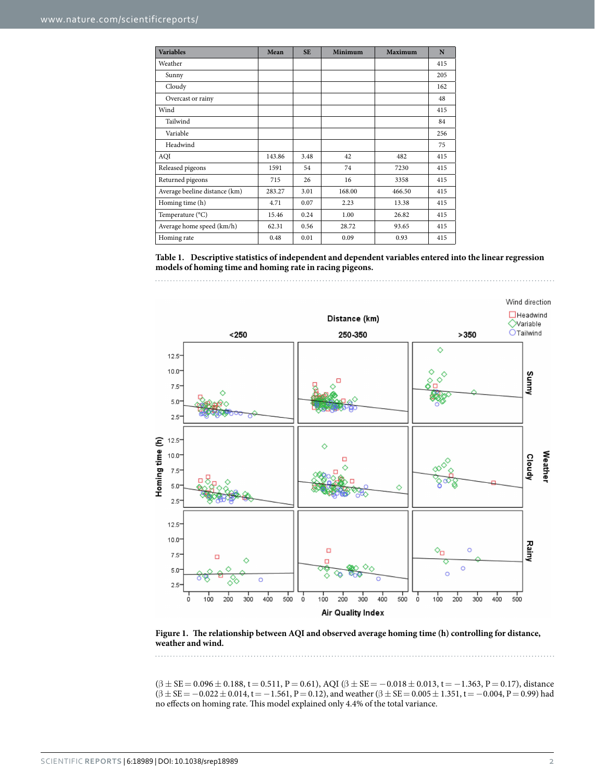<span id="page-1-0"></span>

| <b>Variables</b>              | Mean   | <b>SE</b> | <b>Minimum</b> | <b>Maximum</b> | N   |
|-------------------------------|--------|-----------|----------------|----------------|-----|
| Weather                       |        |           |                |                | 415 |
| Sunny                         |        |           |                |                | 205 |
| Cloudy                        |        |           |                |                | 162 |
| Overcast or rainy             |        |           |                |                | 48  |
| Wind                          |        |           |                |                | 415 |
| Tailwind                      |        |           |                |                | 84  |
| Variable                      |        |           |                |                | 256 |
| Headwind                      |        |           |                |                | 75  |
| AQI                           | 143.86 | 3.48      | 42             | 482            | 415 |
| Released pigeons              | 1591   | 54        | 74             | 7230           | 415 |
| Returned pigeons              | 715    | 26        | 16             | 3358           | 415 |
| Average beeline distance (km) | 283.27 | 3.01      | 168.00         | 466.50         | 415 |
| Homing time (h)               | 4.71   | 0.07      | 2.23           | 13.38          | 415 |
| Temperature (°C)              | 15.46  | 0.24      | 1.00           | 26.82          | 415 |
| Average home speed (km/h)     | 62.31  | 0.56      | 28.72          | 93.65          | 415 |
| Homing rate                   | 0.48   | 0.01      | 0.09           | 0.93           | 415 |

**Table 1. Descriptive statistics of independent and dependent variables entered into the linear regression models of homing time and homing rate in racing pigeons.**



<span id="page-1-1"></span>**Figure 1. The relationship between AQI and observed average homing time (h) controlling for distance, weather and wind.** 

 $(β ± SE = 0.096 ± 0.188, t = 0.511, P = 0.61)$ , AQI  $(β ± SE = -0.018 ± 0.013, t = -1.363, P = 0.17)$ , distance  $(β ± SE = -0.022 ± 0.014, t = -1.561, P = 0.12)$ , and weather  $(β ± SE = 0.005 ± 1.351, t = -0.004, P = 0.99)$  had no effects on homing rate. This model explained only 4.4% of the total variance.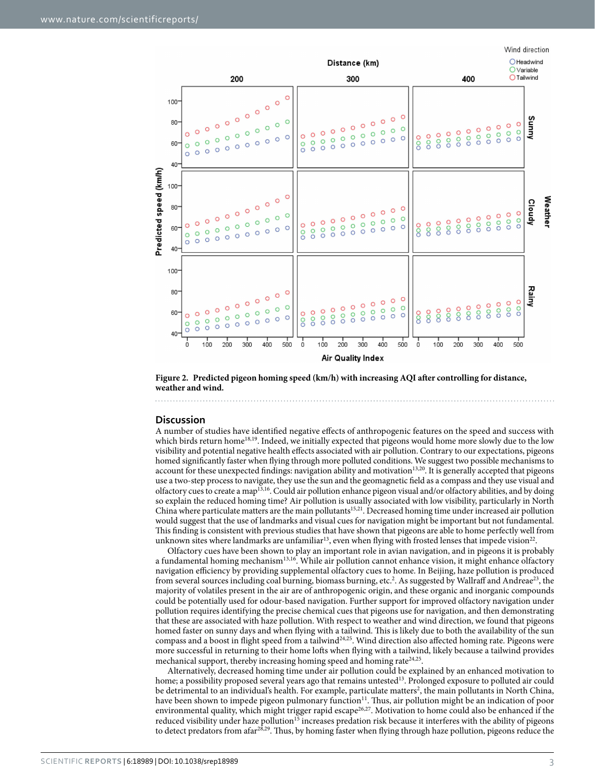

<span id="page-2-0"></span>**Figure 2. Predicted pigeon homing speed (km/h) with increasing AQI after controlling for distance, weather and wind.** 

#### **Discussion**

A number of studies have identified negative effects of anthropogenic features on the speed and success with which birds return home<sup>[18,](#page-4-15)19</sup>. Indeed, we initially expected that pigeons would home more slowly due to the low visibility and potential negative health effects associated with air pollution. Contrary to our expectations, pigeons homed significantly faster when flying through more polluted conditions. We suggest two possible mechanisms to account for these unexpected findings: navigation ability and motivation<sup>[13](#page-4-10),[20](#page-4-17)</sup>. It is generally accepted that pigeons use a two-step process to navigate, they use the sun and the geomagnetic field as a compass and they use visual and olfactory cues to create a map[13](#page-4-10),[16](#page-4-13). Could air pollution enhance pigeon visual and/or olfactory abilities, and by doing so explain the reduced homing time? Air pollution is usually associated with low visibility, particularly in North China where particulate matters are the main pollutants[15](#page-4-12),[21](#page-4-18). Decreased homing time under increased air pollution would suggest that the use of landmarks and visual cues for navigation might be important but not fundamental. This finding is consistent with previous studies that have shown that pigeons are able to home perfectly well from unknown sites where landmarks are unfamiliar<sup>[13](#page-4-10)</sup>, even when flying with frosted lenses that impede vision<sup>22</sup>.

Olfactory cues have been shown to play an important role in avian navigation, and in pigeons it is probably a fundamental homing mechanism<sup>[13](#page-4-10),[16](#page-4-13)</sup>. While air pollution cannot enhance vision, it might enhance olfactory navigation efficiency by providing supplemental olfactory cues to home. In Beijing, haze pollution is produced from several sources including coal burning, biomass burning, etc.<sup>2</sup>. As suggested by Wallraff and Andreae<sup>[23](#page-4-20)</sup>, the majority of volatiles present in the air are of anthropogenic origin, and these organic and inorganic compounds could be potentially used for odour-based navigation. Further support for improved olfactory navigation under pollution requires identifying the precise chemical cues that pigeons use for navigation, and then demonstrating that these are associated with haze pollution. With respect to weather and wind direction, we found that pigeons homed faster on sunny days and when flying with a tailwind. This is likely due to both the availability of the sun compass and a boost in flight speed from a tailwind<sup>[24](#page-4-21),[25](#page-4-22)</sup>. Wind direction also affected homing rate. Pigeons were more successful in returning to their home lofts when flying with a tailwind, likely because a tailwind provides mechanical support, thereby increasing homing speed and homing rate<sup>24,25</sup>.

Alternatively, decreased homing time under air pollution could be explained by an enhanced motivation to home; a possibility proposed several years ago that remains untested<sup>13</sup>. Prolonged exposure to polluted air could be detrimental to an individual's health. For example, particulate matters<sup>2</sup>, the main pollutants in North China, have been shown to impede pigeon pulmonary function<sup>11</sup>. Thus, air pollution might be an indication of poor environmental quality, which might trigger rapid escape<sup>[26](#page-4-24),[27](#page-4-25)</sup>. Motivation to home could also be enhanced if the reduced visibility under haze pollution<sup>15</sup> increases predation risk because it interferes with the ability of pigeons to detect predators from afar<sup>[28](#page-4-26),[29](#page-4-27)</sup>. Thus, by homing faster when flying through haze pollution, pigeons reduce the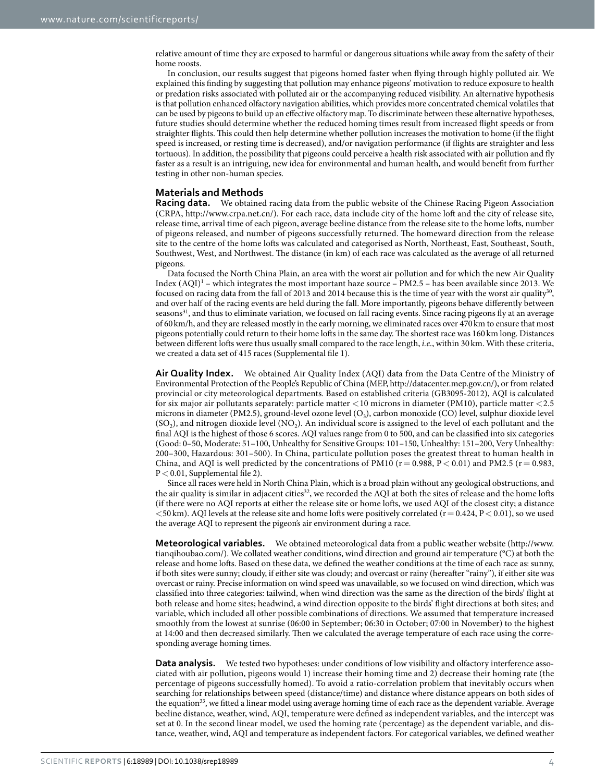relative amount of time they are exposed to harmful or dangerous situations while away from the safety of their home roosts.

In conclusion, our results suggest that pigeons homed faster when flying through highly polluted air. We explained this finding by suggesting that pollution may enhance pigeons' motivation to reduce exposure to health or predation risks associated with polluted air or the accompanying reduced visibility. An alternative hypothesis is that pollution enhanced olfactory navigation abilities, which provides more concentrated chemical volatiles that can be used by pigeons to build up an effective olfactory map. To discriminate between these alternative hypotheses, future studies should determine whether the reduced homing times result from increased flight speeds or from straighter flights. This could then help determine whether pollution increases the motivation to home (if the flight speed is increased, or resting time is decreased), and/or navigation performance (if flights are straighter and less tortuous). In addition, the possibility that pigeons could perceive a health risk associated with air pollution and fly faster as a result is an intriguing, new idea for environmental and human health, and would benefit from further testing in other non-human species.

#### **Materials and Methods**

**Racing data.** We obtained racing data from the public website of the Chinese Racing Pigeon Association (CRPA, [http://www.crpa.net.cn/\)](http://www.crpa.net.cn/). For each race, data include city of the home loft and the city of release site, release time, arrival time of each pigeon, average beeline distance from the release site to the home lofts, number of pigeons released, and number of pigeons successfully returned. The homeward direction from the release site to the centre of the home lofts was calculated and categorised as North, Northeast, East, Southeast, South, Southwest, West, and Northwest. The distance (in km) of each race was calculated as the average of all returned pigeons.

Data focused the North China Plain, an area with the worst air pollution and for which the new Air Quality Index  $(AQI)^1$  – which integrates the most important haze source – PM2.5 – has been available since 2013. We focused on racing data from the fall of 2013 and 2014 because this is the time of year with the worst air quality $30$ , and over half of the racing events are held during the fall. More importantly, pigeons behave differently between seasons<sup>[31](#page-4-29)</sup>, and thus to eliminate variation, we focused on fall racing events. Since racing pigeons fly at an average of 60km/h, and they are released mostly in the early morning, we eliminated races over 470 km to ensure that most pigeons potentially could return to their home lofts in the same day. The shortest race was 160 km long. Distances between different lofts were thus usually small compared to the race length, *i.e.*, within 30 km. With these criteria, we created a data set of 415 races (Supplemental file 1).

**Air Quality Index.** We obtained Air Quality Index (AQI) data from the Data Centre of the Ministry of Environmental Protection of the People's Republic of China (MEP, [http://datacenter.mep.gov.cn/\)](http://datacenter.mep.gov.cn/), or from related provincial or city meteorological departments. Based on established criteria (GB3095-2012), AQI is calculated for six major air pollutants separately: particle matter <10 microns in diameter (PM10), particle matter <2.5 microns in diameter (PM2.5), ground-level ozone level  $(O_3)$ , carbon monoxide (CO) level, sulphur dioxide level  $(SO<sub>2</sub>)$ , and nitrogen dioxide level  $(NO<sub>2</sub>)$ . An individual score is assigned to the level of each pollutant and the final AQI is the highest of those 6 scores. AQI values range from 0 to 500, and can be classified into six categories (Good: 0–50, Moderate: 51–100, Unhealthy for Sensitive Groups: 101–150, Unhealthy: 151–200, Very Unhealthy: 200–300, Hazardous: 301–500). In China, particulate pollution poses the greatest threat to human health in China, and AQI is well predicted by the concentrations of PM10 ( $r = 0.988$ ,  $P < 0.01$ ) and PM2.5 ( $r = 0.983$ , P< 0.01, Supplemental file 2).

Since all races were held in North China Plain, which is a broad plain without any geological obstructions, and the air quality is similar in adjacent cities<sup>32</sup>, we recorded the AQI at both the sites of release and the home lofts (if there were no AQI reports at either the release site or home lofts, we used AQI of the closest city; a distance  $<$  50 km). AQI levels at the release site and home lofts were positively correlated (r = 0.424, P  $<$  0.01), so we used the average AQI to represent the pigeon's air environment during a race.

**Meteorological variables.** We obtained meteorological data from a public weather website [\(http://www.](http://www.tianqihoubao.com/) [tianqihoubao.com/\)](http://www.tianqihoubao.com/). We collated weather conditions, wind direction and ground air temperature (°C) at both the release and home lofts. Based on these data, we defined the weather conditions at the time of each race as: sunny, if both sites were sunny; cloudy, if either site was cloudy; and overcast or rainy (hereafter "rainy"), if either site was overcast or rainy. Precise information on wind speed was unavailable, so we focused on wind direction, which was classified into three categories: tailwind, when wind direction was the same as the direction of the birds' flight at both release and home sites; headwind, a wind direction opposite to the birds' flight directions at both sites; and variable, which included all other possible combinations of directions. We assumed that temperature increased smoothly from the lowest at sunrise (06:00 in September; 06:30 in October; 07:00 in November) to the highest at 14:00 and then decreased similarly. Then we calculated the average temperature of each race using the corresponding average homing times.

**Data analysis.** We tested two hypotheses: under conditions of low visibility and olfactory interference associated with air pollution, pigeons would 1) increase their homing time and 2) decrease their homing rate (the percentage of pigeons successfully homed). To avoid a ratio-correlation problem that inevitably occurs when searching for relationships between speed (distance/time) and distance where distance appears on both sides of the equation<sup>[33](#page-4-31)</sup>, we fitted a linear model using average homing time of each race as the dependent variable. Average beeline distance, weather, wind, AQI, temperature were defined as independent variables, and the intercept was set at 0. In the second linear model, we used the homing rate (percentage) as the dependent variable, and distance, weather, wind, AQI and temperature as independent factors. For categorical variables, we defined weather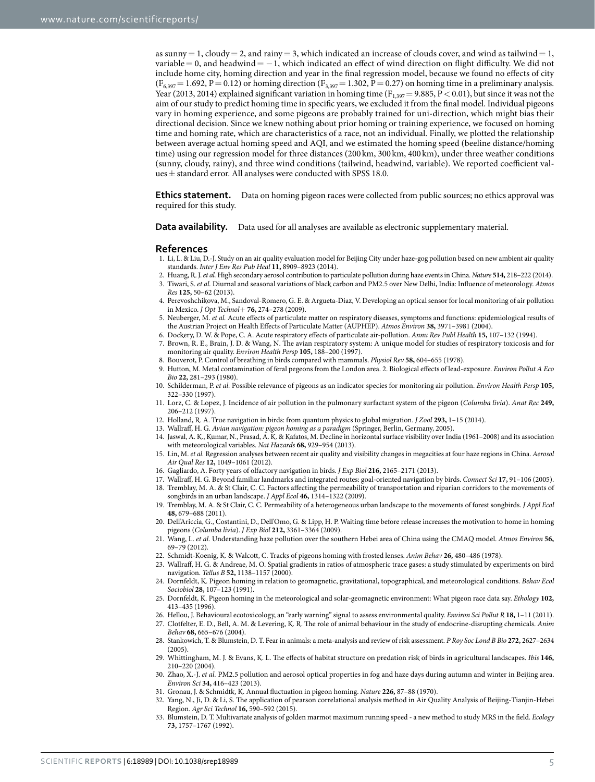as sunny = 1, cloudy = 2, and rainy = 3, which indicated an increase of clouds cover, and wind as tailwind = 1, variable= 0, and headwind= −1, which indicated an effect of wind direction on flight difficulty. We did not include home city, homing direction and year in the final regression model, because we found no effects of city  $(F_{6,397}= 1.692, P= 0.12)$  or homing direction  $(F_{3,397}= 1.302, P= 0.27)$  on homing time in a preliminary analysis. Year (2013, 2014) explained significant variation in homing time ( $F_{1,397}$  = 9.885, P < 0.01), but since it was not the aim of our study to predict homing time in specific years, we excluded it from the final model. Individual pigeons vary in homing experience, and some pigeons are probably trained for uni-direction, which might bias their directional decision. Since we knew nothing about prior homing or training experience, we focused on homing time and homing rate, which are characteristics of a race, not an individual. Finally, we plotted the relationship between average actual homing speed and AQI, and we estimated the homing speed (beeline distance/homing time) using our regression model for three distances (200 km, 300 km, 400 km), under three weather conditions (sunny, cloudy, rainy), and three wind conditions (tailwind, headwind, variable). We reported coefficient values $\pm$  standard error. All analyses were conducted with SPSS 18.0.

**Ethics statement.** Data on homing pigeon races were collected from public sources; no ethics approval was required for this study.

**Data availability.** Data used for all analyses are available as electronic supplementary material.

#### **References**

- <span id="page-4-0"></span>1. Li, L. & Liu, D.-J. Study on an air quality evaluation model for Beijing City under haze-gog pollution based on new ambient air quality standards. *Inter J Env Res Pub Heal* **11,** 8909–8923 (2014).
- <span id="page-4-1"></span>2. Huang, R. J. *et al.* High secondary aerosol contribution to particulate pollution during haze events in China. *Nature* **514,** 218–222 (2014).
- <span id="page-4-2"></span>3. Tiwari, S. *et al.* Diurnal and seasonal variations of black carbon and PM2.5 over New Delhi, India: Influence of meteorology. *Atmos Res* **125,** 50–62 (2013).
- <span id="page-4-3"></span>4. Perevoshchikova, M., Sandoval-Romero, G. E. & Argueta-Diaz, V. Developing an optical sensor for local monitoring of air pollution in Mexico. *J Opt Technol*+ **76,** 274–278 (2009).
- <span id="page-4-4"></span>5. Neuberger, M. *et al.* Acute effects of particulate matter on respiratory diseases, symptoms and functions: epidemiological results of the Austrian Project on Health Effects of Particulate Matter (AUPHEP). *Atmos Environ* **38,** 3971–3981 (2004).
- <span id="page-4-5"></span>6. Dockery, D. W. & Pope, C. A. Acute respiratory effects of particulate air-pollution. *Annu Rev Publ Health* **15,** 107–132 (1994).
- <span id="page-4-6"></span>7. Brown, R. E., Brain, J. D. & Wang, N. The avian respiratory system: A unique model for studies of respiratory toxicosis and for monitoring air quality. *Environ Health Persp* **105,** 188–200 (1997).
- <span id="page-4-7"></span>8. Bouverot, P. Control of breathing in birds compared with mammals. *Physiol Rev* **58,** 604–655 (1978).
- <span id="page-4-8"></span>9. Hutton, M. Metal contamination of feral pegeons from the London area. 2. Biological effects of lead-exposure. *Environ Pollut A Eco Bio* **22,** 281–293 (1980).
- 10. Schilderman, P. *et al.* Possible relevance of pigeons as an indicator species for monitoring air pollution. *Environ Health Persp* **105,** 322–330 (1997).
- <span id="page-4-23"></span>11. Lorz, C. & Lopez, J. Incidence of air pollution in the pulmonary surfactant system of the pigeon (*Columba livia*). *Anat Rec* **249,** 206–212 (1997).
- <span id="page-4-9"></span>12. Holland, R. A. True navigation in birds: from quantum physics to global migration. *J Zool* **293,** 1–15 (2014).
- <span id="page-4-10"></span>13. Wallraff, H. G. *Avian navigation: pigeon homing as a paradigm* (Springer, Berlin, Germany, 2005).
- <span id="page-4-11"></span>14. Jaswal, A. K., Kumar, N., Prasad, A. K. & Kafatos, M. Decline in horizontal surface visibility over India (1961–2008) and its association with meteorological variables. *Nat Hazards* **68,** 929–954 (2013).
- <span id="page-4-12"></span>15. Lin, M. *et al.* Regression analyses between recent air quality and visibility changes in megacities at four haze regions in China. *Aerosol Air Qual Res* **12,** 1049–1061 (2012).
- <span id="page-4-13"></span>16. Gagliardo, A. Forty years of olfactory navigation in birds. *J Exp Biol* **216,** 2165–2171 (2013).
- <span id="page-4-14"></span>17. Wallraff, H. G. Beyond familiar landmarks and integrated routes: goal-oriented navigation by birds. *Connect Sci* **17,** 91–106 (2005).
- <span id="page-4-15"></span>18. Tremblay, M. A. & St Clair, C. C. Factors affecting the permeability of transportation and riparian corridors to the movements of songbirds in an urban landscape. *J Appl Ecol* **46,** 1314–1322 (2009).
- <span id="page-4-16"></span>19. Tremblay, M. A. & St Clair, C. C. Permeability of a heterogeneous urban landscape to the movements of forest songbirds. *J Appl Ecol* **48,** 679–688 (2011).
- <span id="page-4-17"></span>20. Dell'Ariccia, G., Costantini, D., Dell'Omo, G. & Lipp, H. P. Waiting time before release increases the motivation to home in homing pigeons (*Columba livia*). *J Exp Biol* **212,** 3361–3364 (2009).
- <span id="page-4-18"></span>21. Wang, L. *et al.* Understanding haze pollution over the southern Hebei area of China using the CMAQ model. *Atmos Environ* **56,** 69–79 (2012).
- <span id="page-4-20"></span><span id="page-4-19"></span>22. Schmidt-Koenig, K. & Walcott, C. Tracks of pigeons homing with frosted lenses. *Anim Behav* **26,** 480–486 (1978).
- 23. Wallraff, H. G. & Andreae, M. O. Spatial gradients in ratios of atmospheric trace gases: a study stimulated by experiments on bird navigation. *Tellus B* **52,** 1138–1157 (2000).
- <span id="page-4-21"></span>24. Dornfeldt, K. Pigeon homing in relation to geomagnetic, gravitational, topographical, and meteorological conditions. *Behav Ecol Sociobiol* **28,** 107–123 (1991).
- <span id="page-4-22"></span>25. Dornfeldt, K. Pigeon homing in the meteorological and solar-geomagnetic environment: What pigeon race data say. *Ethology* **102,** 413–435 (1996).
- <span id="page-4-25"></span><span id="page-4-24"></span>26. Hellou, J. Behavioural ecotoxicology, an "early warning" signal to assess environmental quality. *Environ Sci Pollut R* **18,** 1–11 (2011). 27. Clotfelter, E. D., Bell, A. M. & Levering, K. R. The role of animal behaviour in the study of endocrine-disrupting chemicals. *Anim*
- <span id="page-4-26"></span>*Behav* **68,** 665–676 (2004). 28. Stankowich, T. & Blumstein, D. T. Fear in animals: a meta-analysis and review of risk assessment. *P Roy Soc Lond B Bio* **272,** 2627–2634 (2005).
- <span id="page-4-27"></span>29. Whittingham, M. J. & Evans, K. L. The effects of habitat structure on predation risk of birds in agricultural landscapes. *Ibis* **146,** 210–220 (2004).
- <span id="page-4-28"></span>30. Zhao, X.-J. *et al.* PM2.5 pollution and aerosol optical properties in fog and haze days during autumn and winter in Beijing area. *Environ Sci* **34,** 416–423 (2013).
- <span id="page-4-29"></span>31. Gronau, J. & Schmidtk, K. Annual fluctuation in pigeon homing. *Nature* **226,** 87–88 (1970).
- <span id="page-4-30"></span>32. Yang, N., Ji, D. & Li, S. The application of pearson correlational analysis method in Air Quality Analysis of Beijing-Tianjin-Hebei Region. *Agr Sci Technol* **16,** 590–592 (2015).
- <span id="page-4-31"></span>33. Blumstein, D. T. Multivariate analysis of golden marmot maximum running speed - a new method to study MRS in the field. *Ecology* **73,** 1757–1767 (1992).